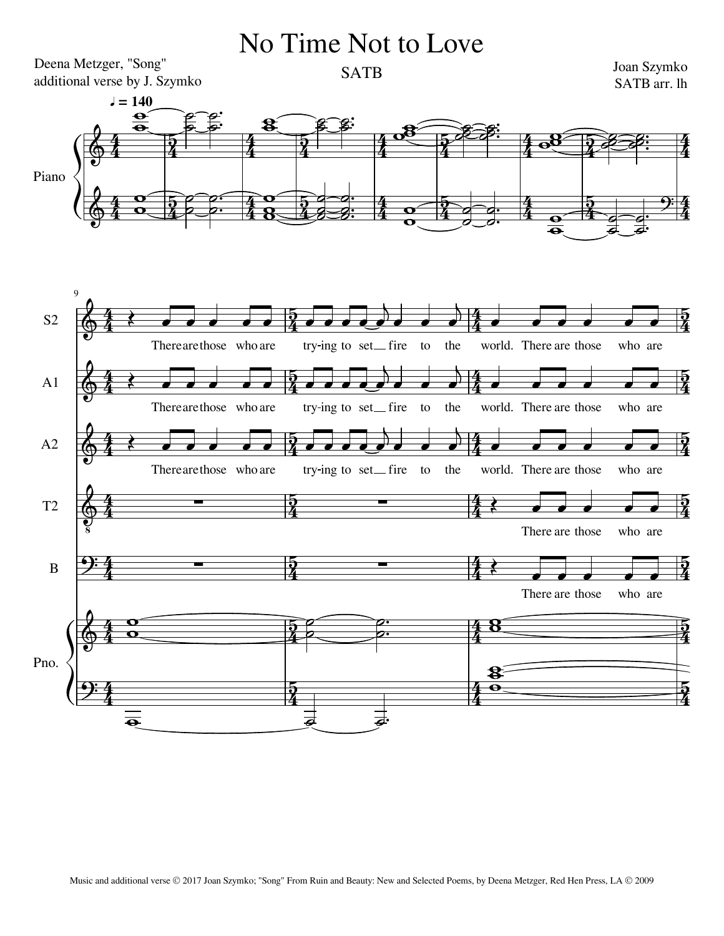## No Time Not to Love

Deena Metzger, "Song" additional verse by J. Szymko

SATB

Joan Szymko SATB arr. lh

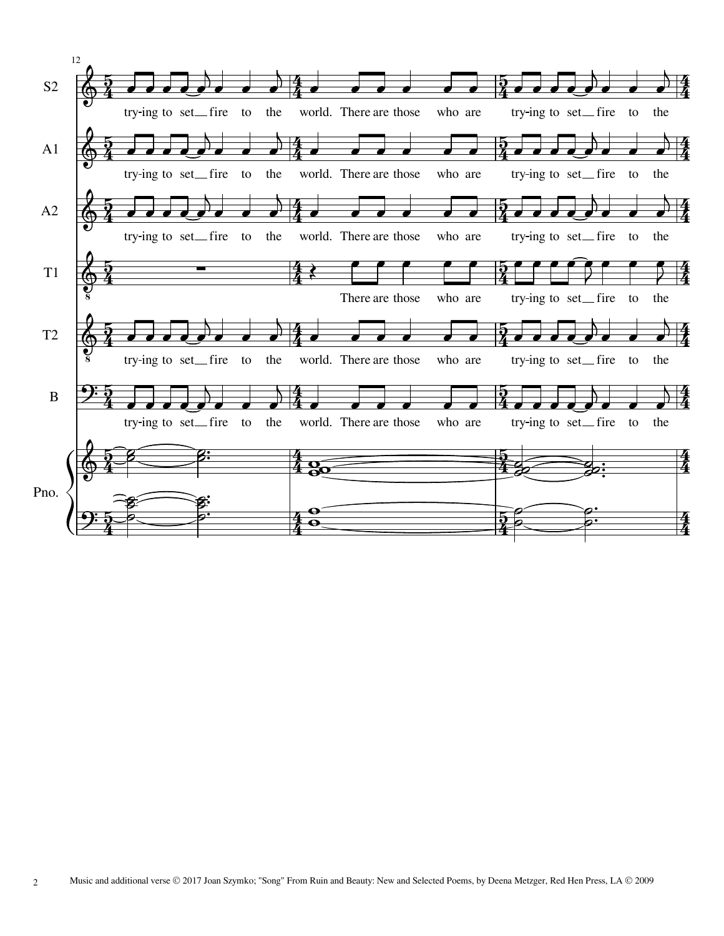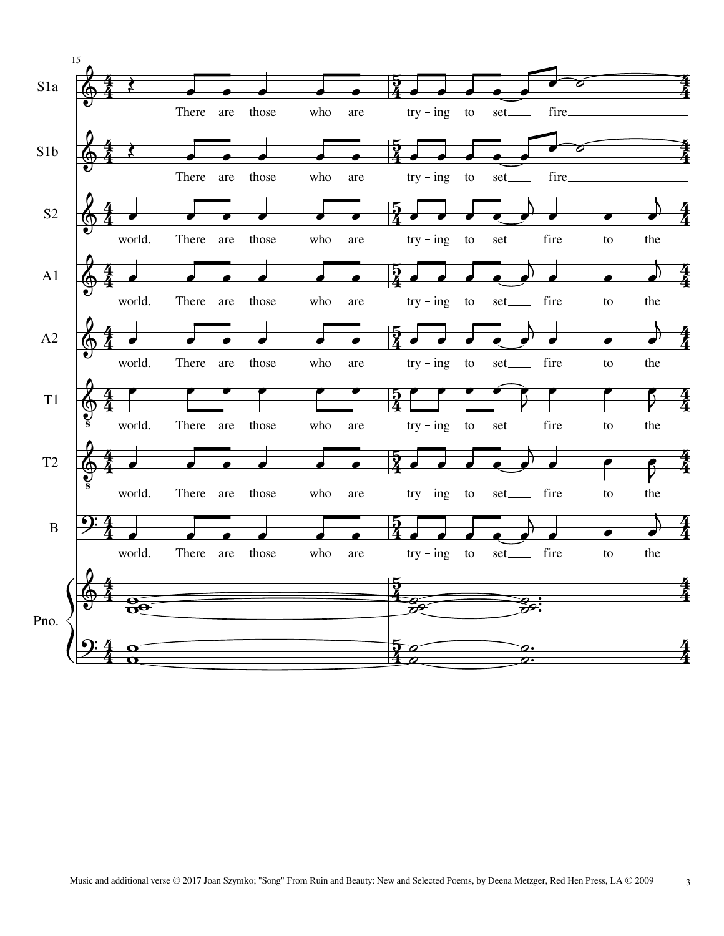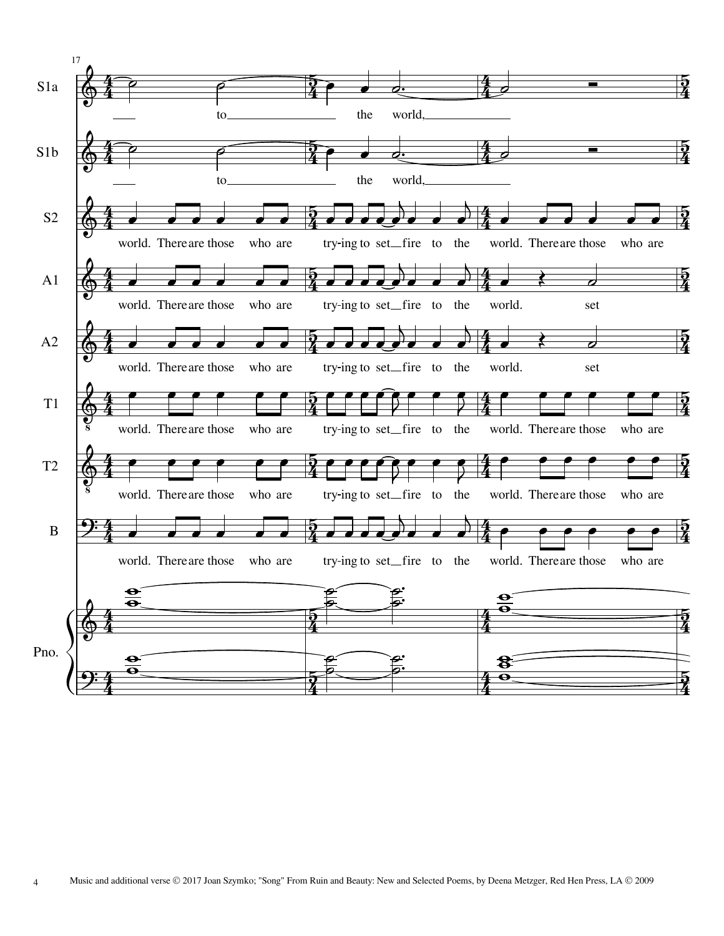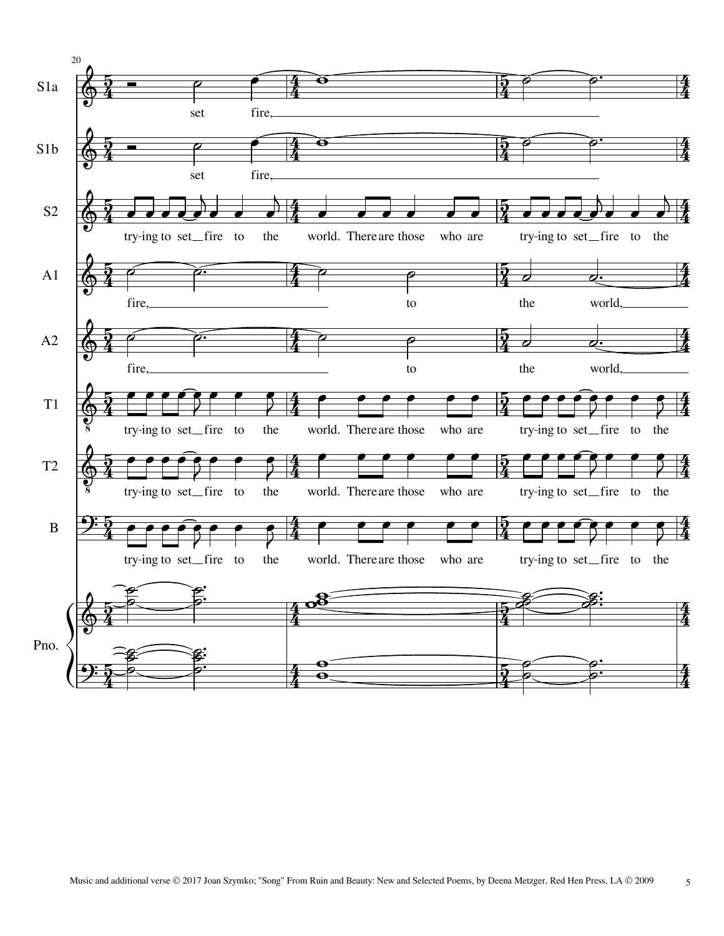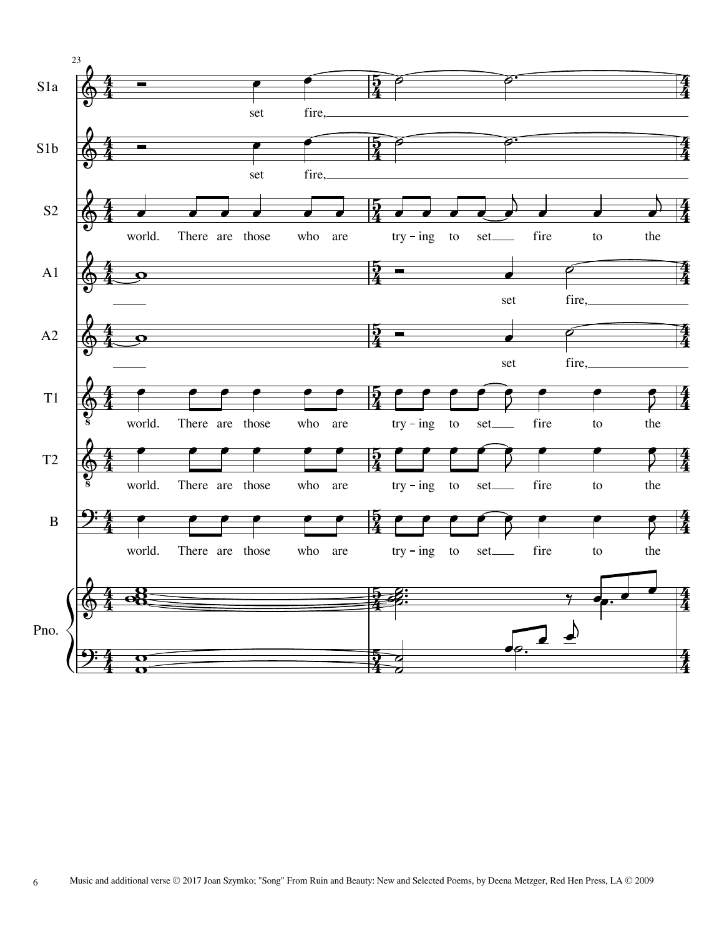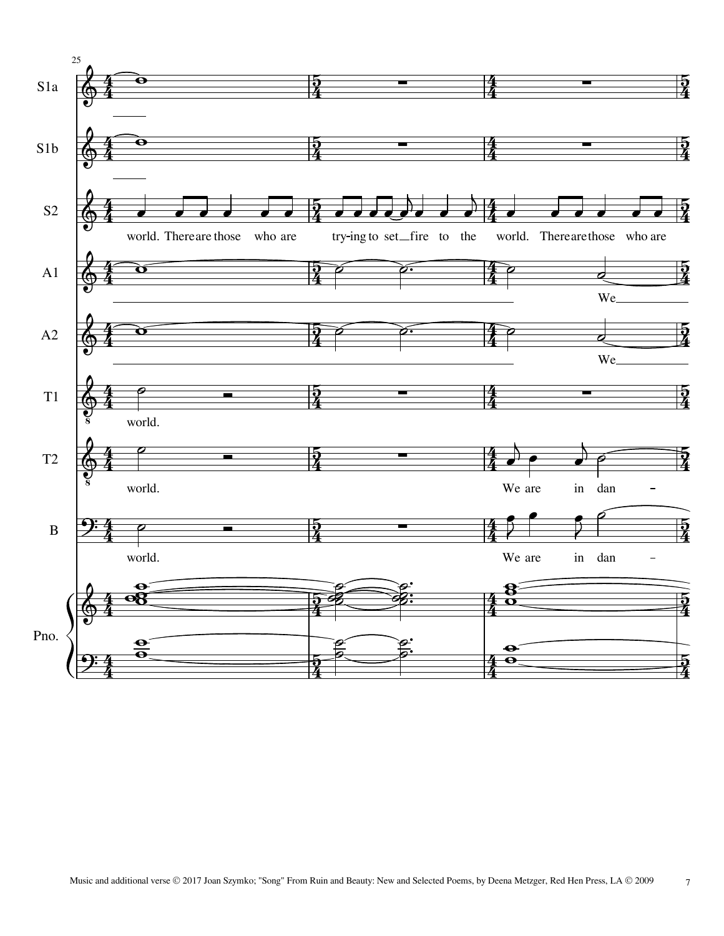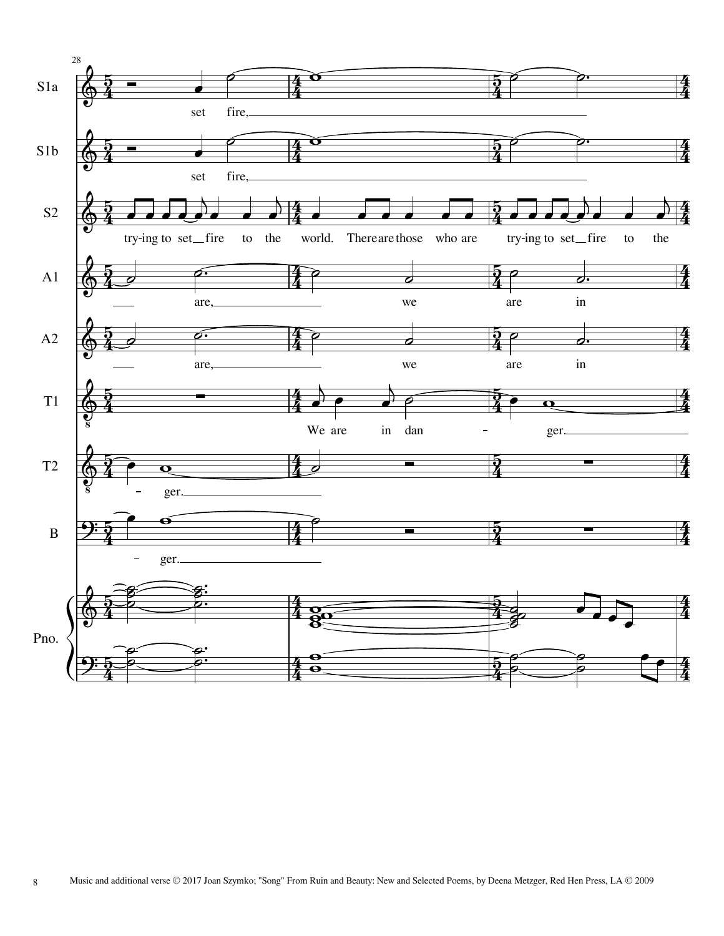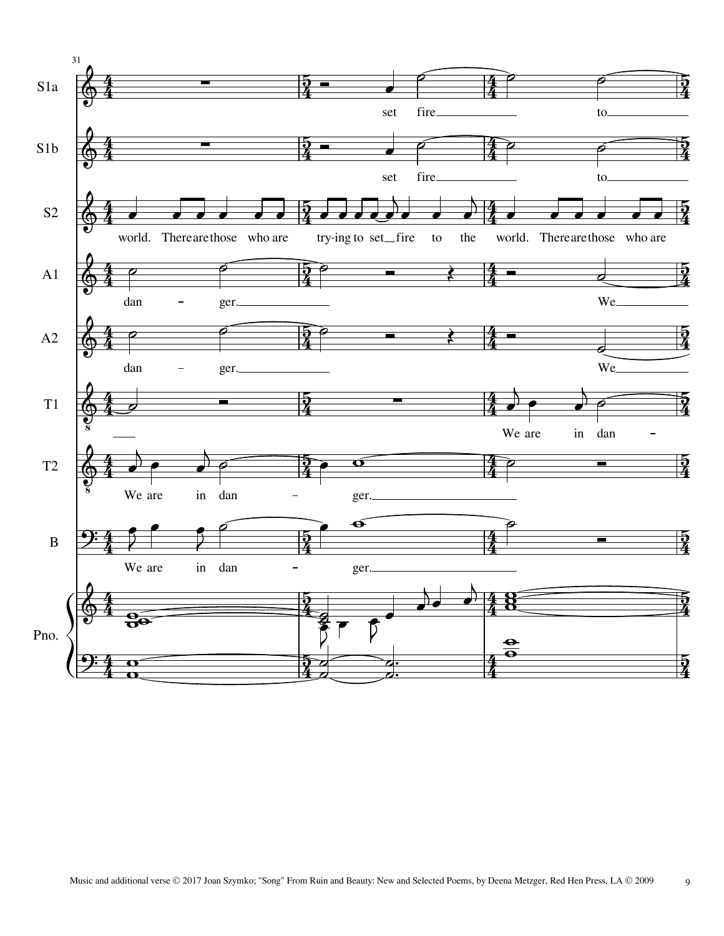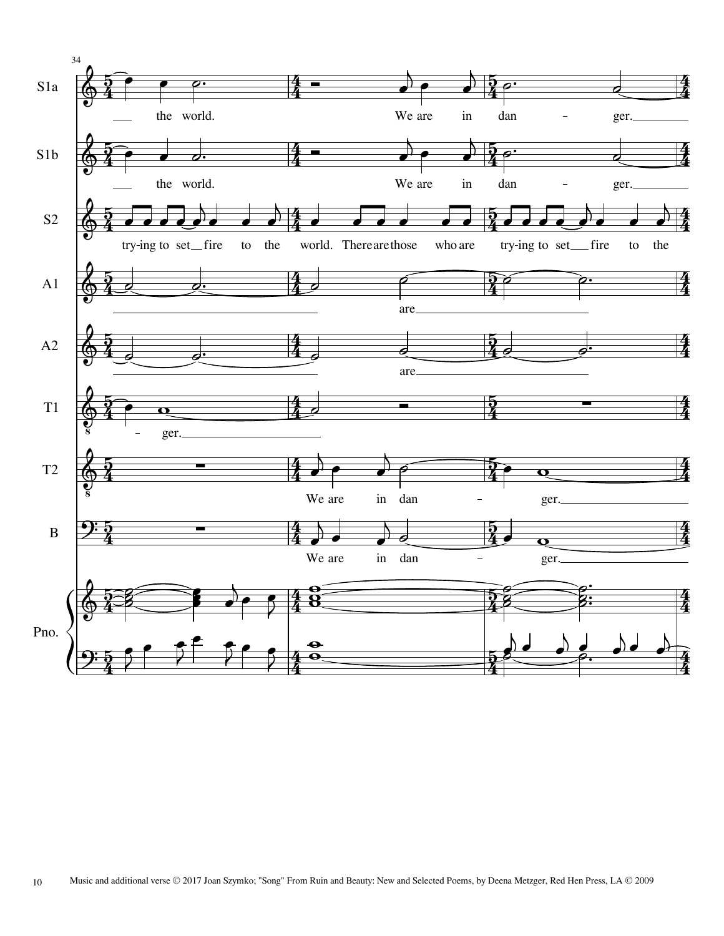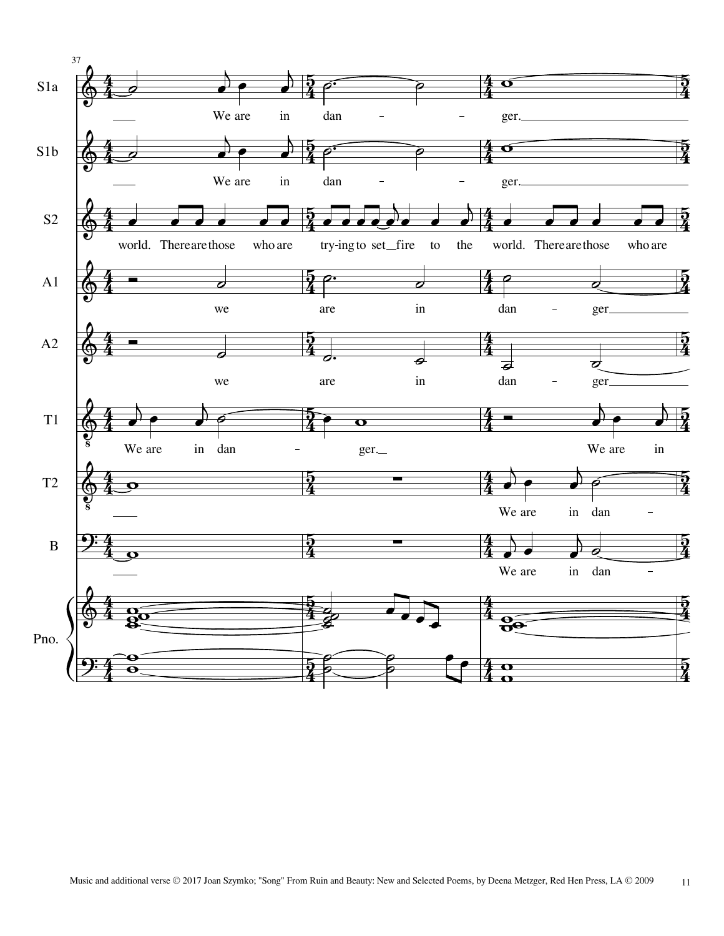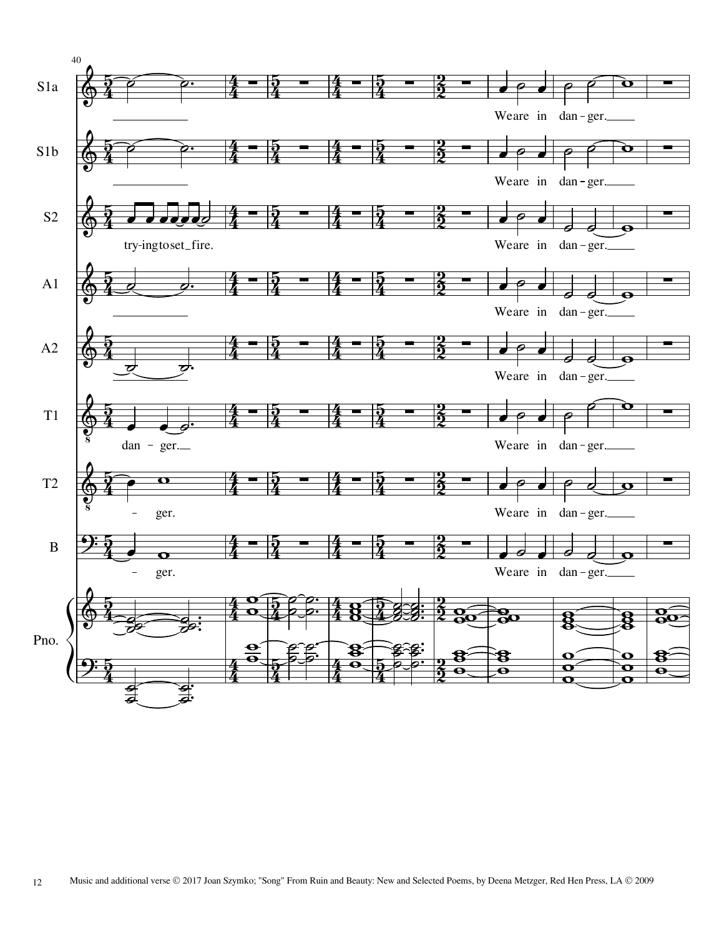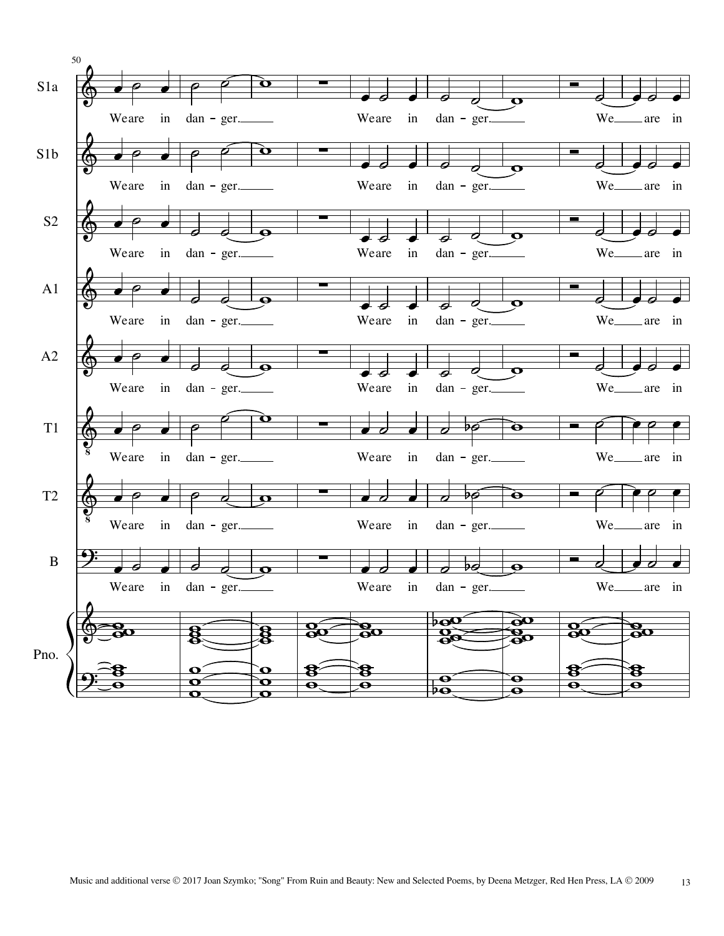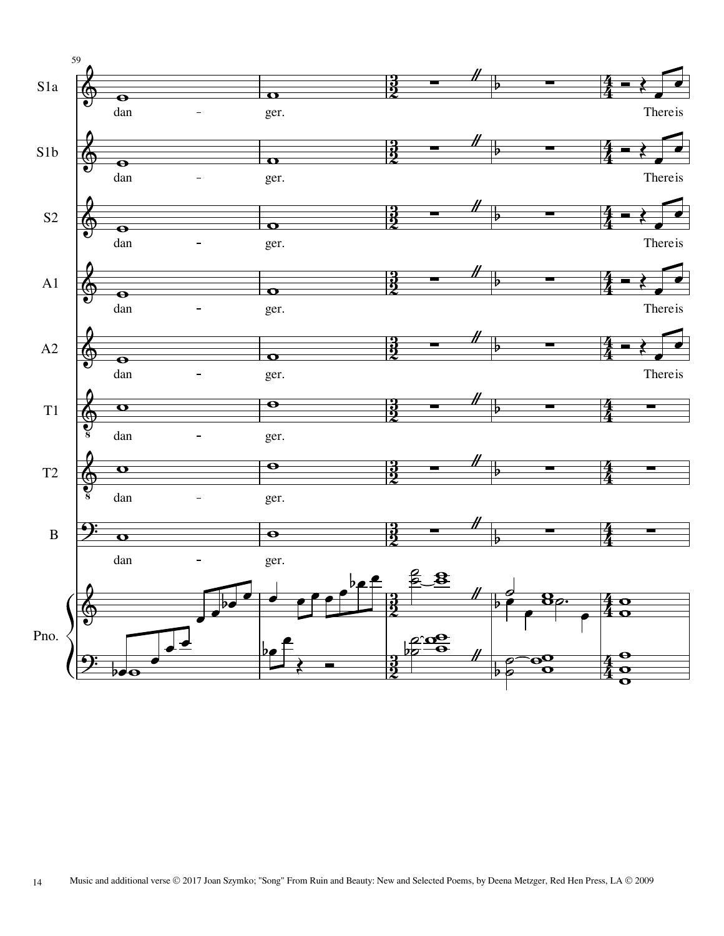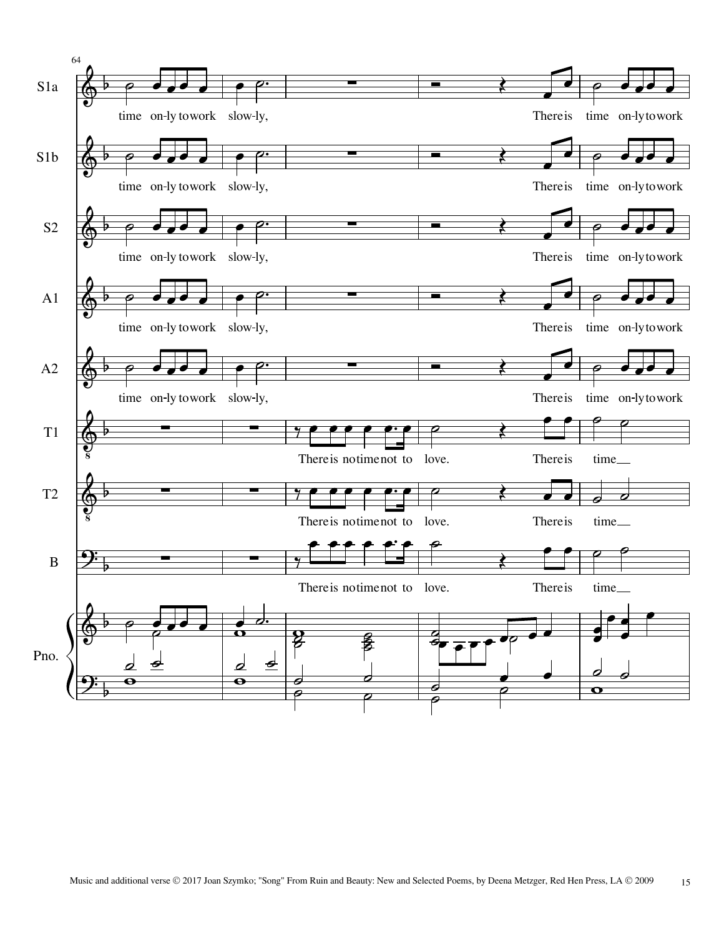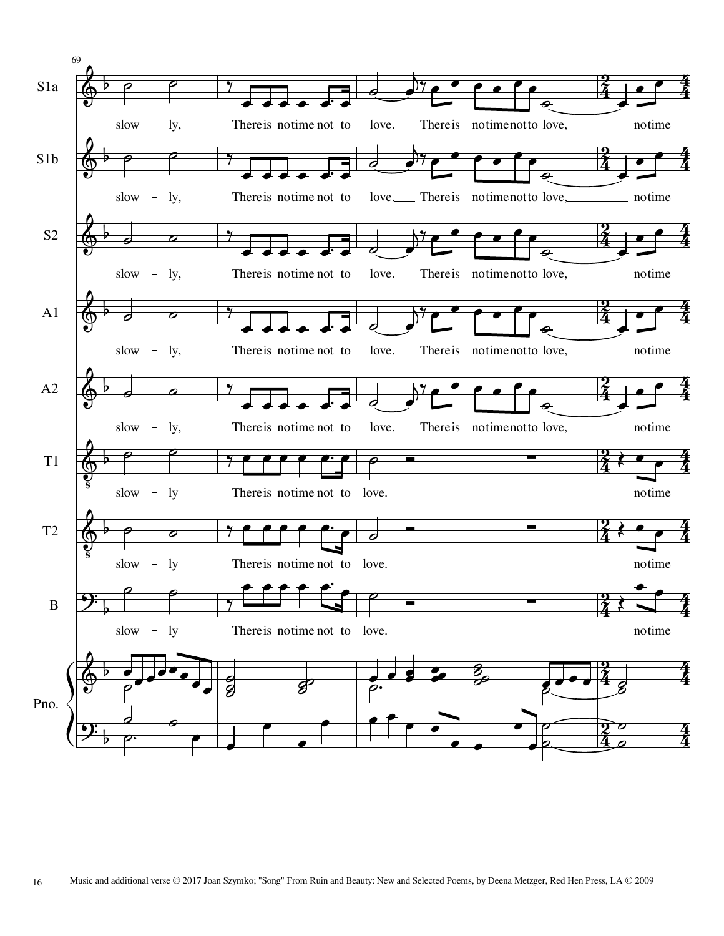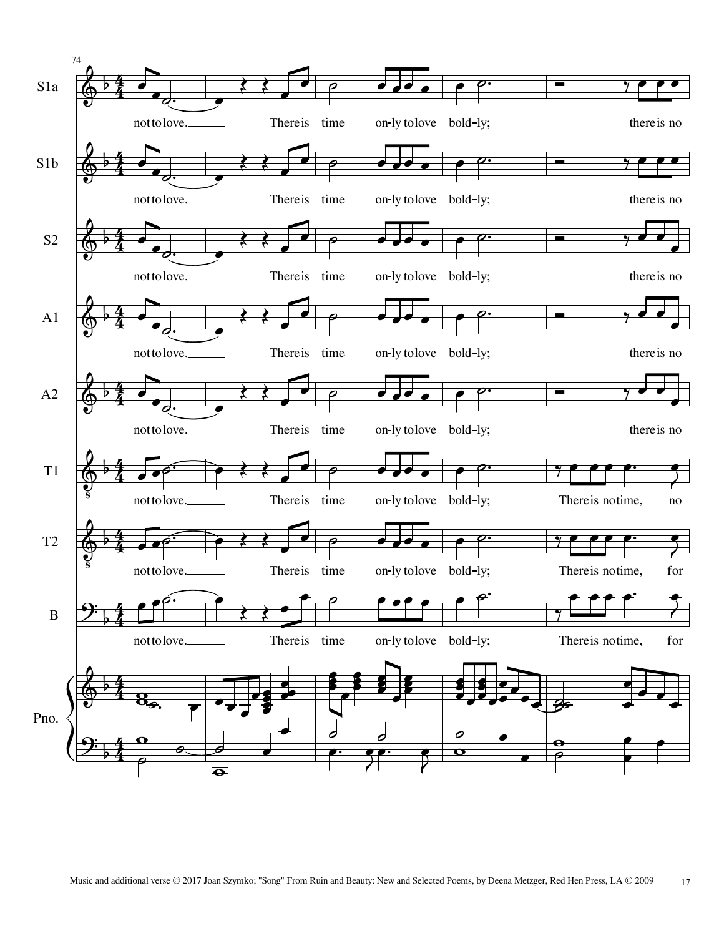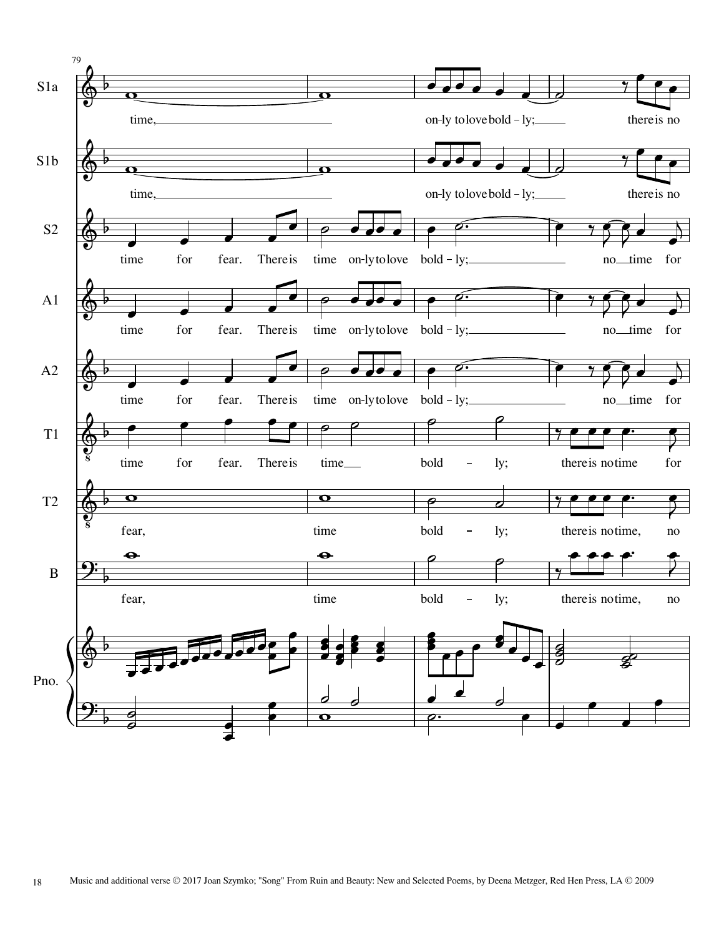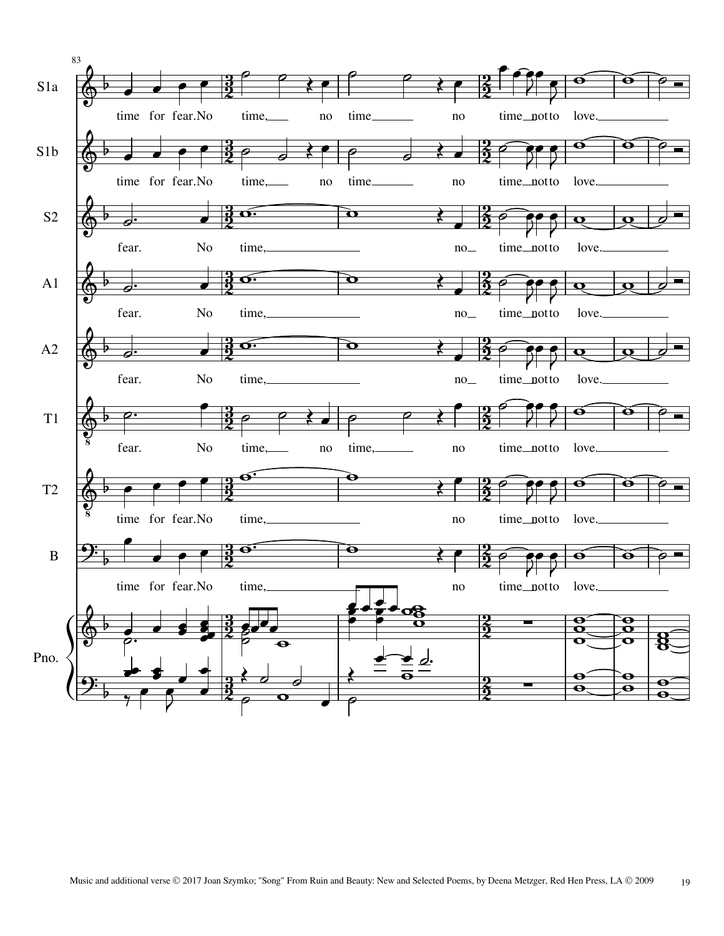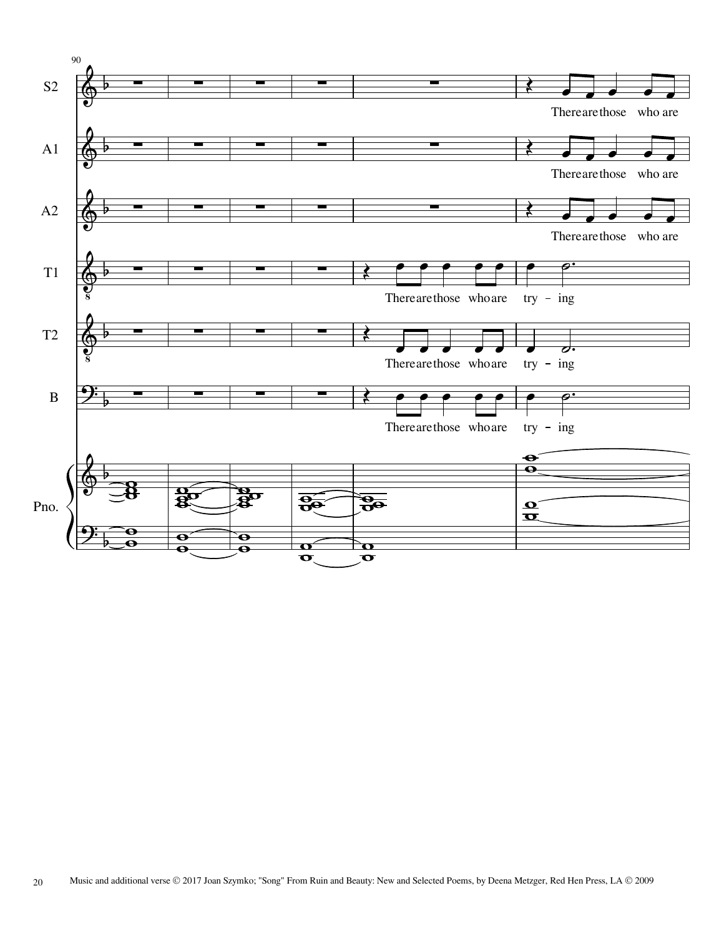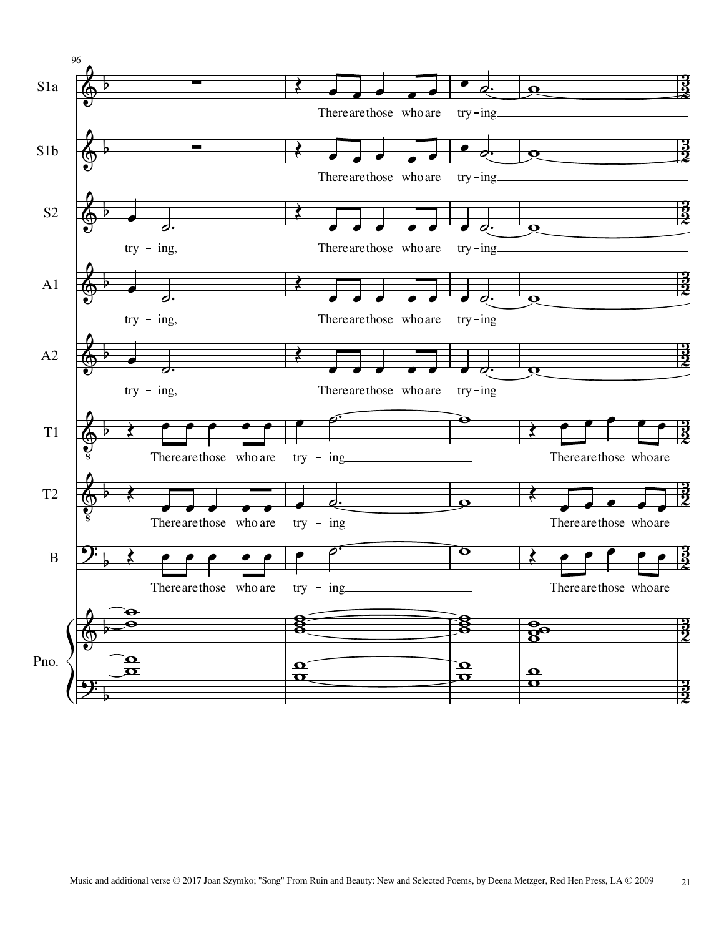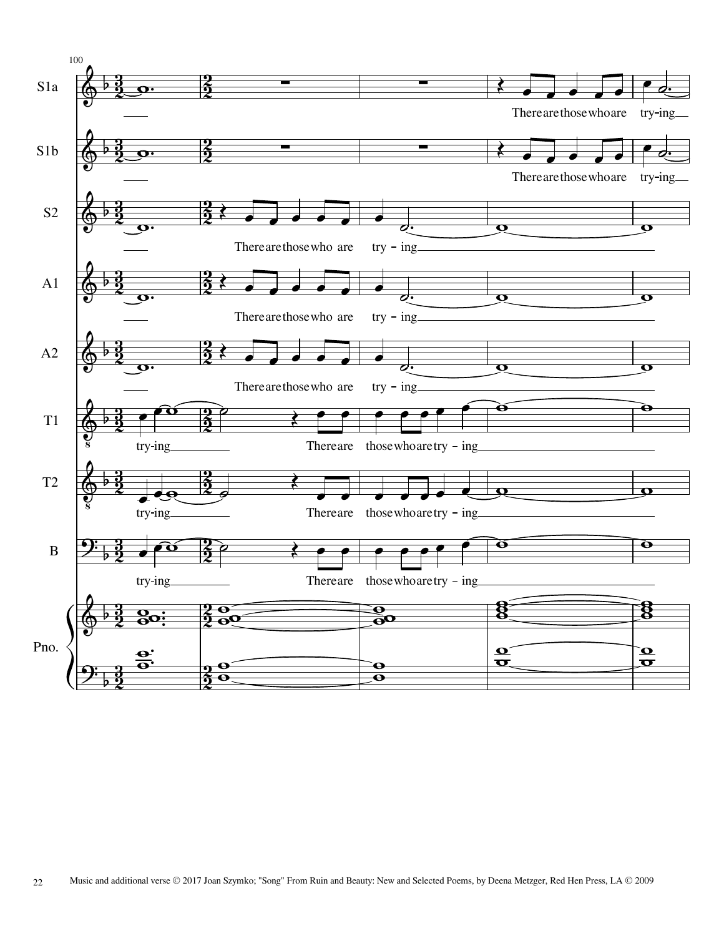